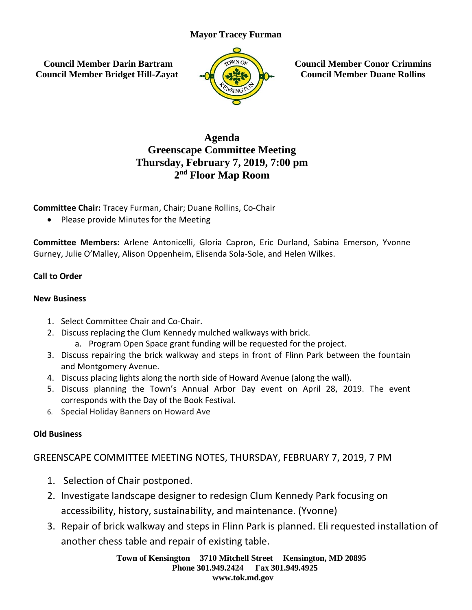#### **Mayor Tracey Furman**

**Council Member Darin Bartram Council Member Bridget Hill-Zayat**



**Council Member Conor Crimmins Council Member Duane Rollins**

# **Agenda Greenscape Committee Meeting Thursday, February 7, 2019, 7:00 pm 2 nd Floor Map Room**

**Committee Chair:** Tracey Furman, Chair; Duane Rollins, Co-Chair

• Please provide Minutes for the Meeting

**Committee Members:** Arlene Antonicelli, Gloria Capron, Eric Durland, Sabina Emerson, Yvonne Gurney, Julie O'Malley, Alison Oppenheim, Elisenda Sola-Sole, and Helen Wilkes.

## **Call to Order**

#### **New Business**

- 1. Select Committee Chair and Co-Chair.
- 2. Discuss replacing the Clum Kennedy mulched walkways with brick.
	- a. Program Open Space grant funding will be requested for the project.
- 3. Discuss repairing the brick walkway and steps in front of Flinn Park between the fountain and Montgomery Avenue.
- 4. Discuss placing lights along the north side of Howard Avenue (along the wall).
- 5. Discuss planning the Town's Annual Arbor Day event on April 28, 2019. The event corresponds with the Day of the Book Festival.
- 6. Special Holiday Banners on Howard Ave

## **Old Business**

GREENSCAPE COMMITTEE MEETING NOTES, THURSDAY, FEBRUARY 7, 2019, 7 PM

- 1. Selection of Chair postponed.
- 2. Investigate landscape designer to redesign Clum Kennedy Park focusing on accessibility, history, sustainability, and maintenance. (Yvonne)
- 3. Repair of brick walkway and steps in Flinn Park is planned. Eli requested installation of another chess table and repair of existing table.

**Town of Kensington 3710 Mitchell Street Kensington, MD 20895 Phone 301.949.2424 Fax 301.949.4925 www.tok.md.gov**